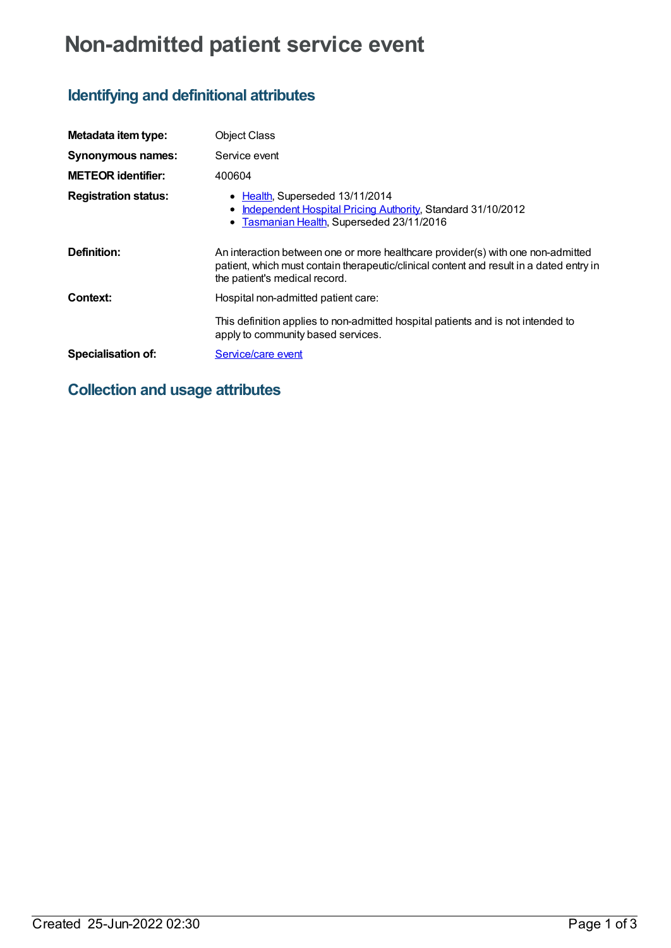# **Non-admitted patient service event**

## **Identifying and definitional attributes**

| Metadata item type:         | <b>Object Class</b>                                                                                                                                                                                         |
|-----------------------------|-------------------------------------------------------------------------------------------------------------------------------------------------------------------------------------------------------------|
| <b>Synonymous names:</b>    | Service event                                                                                                                                                                                               |
| <b>METEOR identifier:</b>   | 400604                                                                                                                                                                                                      |
| <b>Registration status:</b> | • Health, Superseded 13/11/2014<br>Independent Hospital Pricing Authority, Standard 31/10/2012<br>• Tasmanian Health, Superseded 23/11/2016                                                                 |
| Definition:                 | An interaction between one or more healthcare provider(s) with one non-admitted<br>patient, which must contain therapeutic/clinical content and result in a dated entry in<br>the patient's medical record. |
| Context:                    | Hospital non-admitted patient care:                                                                                                                                                                         |
|                             | This definition applies to non-admitted hospital patients and is not intended to<br>apply to community based services.                                                                                      |
| <b>Specialisation of:</b>   | Service/care event                                                                                                                                                                                          |

### **Collection and usage attributes**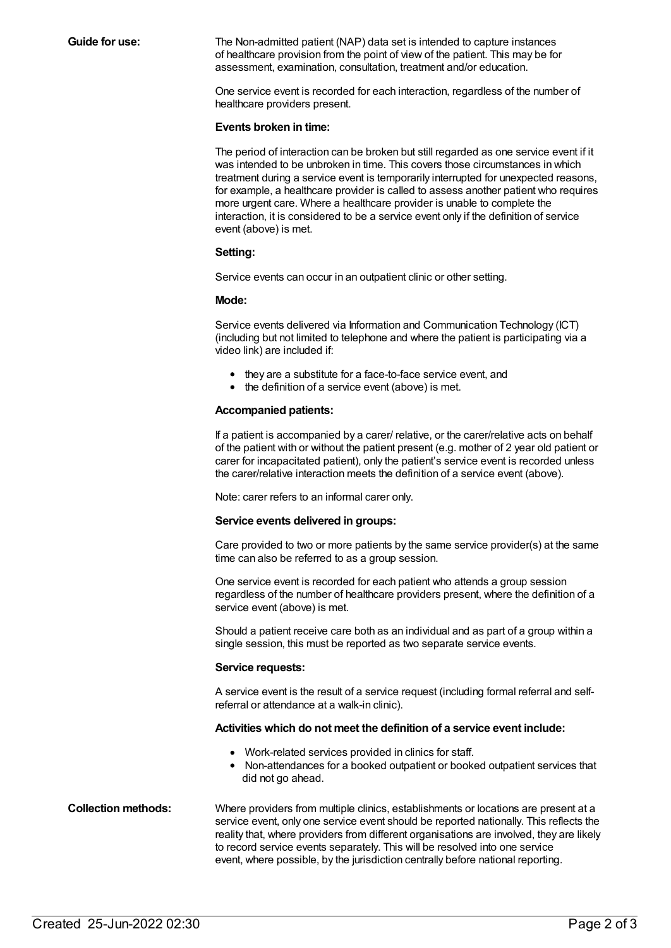**Guide for use:** The Non-admitted patient (NAP) data set is intended to capture instances of healthcare provision from the point of view of the patient. This may be for assessment, examination, consultation, treatment and/or education.

> One service event is recorded for each interaction, regardless of the number of healthcare providers present.

#### **Events broken in time:**

The period of interaction can be broken but still regarded as one service event if it was intended to be unbroken in time. This covers those circumstances in which treatment during a service event is temporarily interrupted for unexpected reasons, for example, a healthcare provider is called to assess another patient who requires more urgent care. Where a healthcare provider is unable to complete the interaction, it is considered to be a service event only if the definition of service event (above) is met.

#### **Setting:**

Service events can occur in an outpatient clinic or other setting.

#### **Mode:**

Service events delivered via Information and Communication Technology (ICT) (including but not limited to telephone and where the patient is participating via a video link) are included if:

- they are a substitute for a face-to-face service event, and
- the definition of a service event (above) is met.

### **Accompanied patients:**

If a patient is accompanied by a carer/ relative, or the carer/relative acts on behalf of the patient with or without the patient present (e.g. mother of 2 year old patient or carer for incapacitated patient), only the patient's service event is recorded unless the carer/relative interaction meets the definition of a service event (above).

Note: carer refers to an informal carer only.

### **Service events delivered in groups:**

Care provided to two or more patients by the same service provider(s) at the same time can also be referred to as a group session.

One service event is recorded for each patient who attends a group session regardless of the number of healthcare providers present, where the definition of a service event (above) is met.

Should a patient receive care both as an individual and as part of a group within a single session, this must be reported as two separate service events.

#### **Service requests:**

A service event is the result of a service request (including formal referral and selfreferral or attendance at a walk-in clinic).

### **Activities which do not meet the definition of a service event include:**

- Work-related services provided in clinics for staff.
- Non-attendances for a booked outpatient or booked outpatient services that did not go ahead.

**Collection methods:** Where providers from multiple clinics, establishments or locations are present at a service event, only one service event should be reported nationally. This reflects the reality that, where providers from different organisations are involved, they are likely to record service events separately. This will be resolved into one service event, where possible, by the jurisdiction centrally before national reporting.